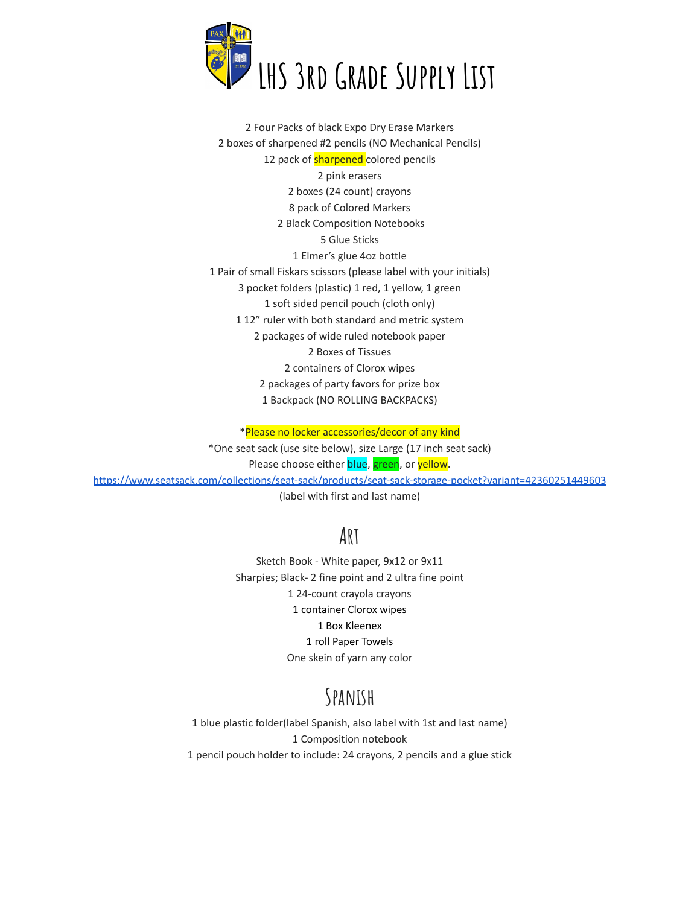

 Four Packs of black Expo Dry Erase Markers boxes of sharpened #2 pencils (NO Mechanical Pencils) 12 pack of **sharpened** colored pencils pink erasers boxes (24 count) crayons pack of Colored Markers Black Composition Notebooks Glue Sticks Elmer's glue 4oz bottle Pair of small Fiskars scissors (please label with your initials) pocket folders (plastic) 1 red, 1 yellow, 1 green soft sided pencil pouch (cloth only) 12" ruler with both standard and metric system packages of wide ruled notebook paper Boxes of Tissues containers of Clorox wipes packages of party favors for prize box Backpack (NO ROLLING BACKPACKS)

\*Please no locker accessories/decor of any kind

\*One seat sack (use site below), size Large (17 inch seat sack) Please choose either blue, green, or yellow. <https://www.seatsack.com/collections/seat-sack/products/seat-sack-storage-pocket?variant=42360251449603> (label with first and last name)

## **Art**

Sketch Book - White paper, 9x12 or 9x11 Sharpies; Black- 2 fine point and 2 ultra fine point 24-count crayola crayons container Clorox wipes Box Kleenex roll Paper Towels One skein of yarn any color

## **Spanish**

 blue plastic folder(label Spanish, also label with 1st and last name) Composition notebook pencil pouch holder to include: 24 crayons, 2 pencils and a glue stick